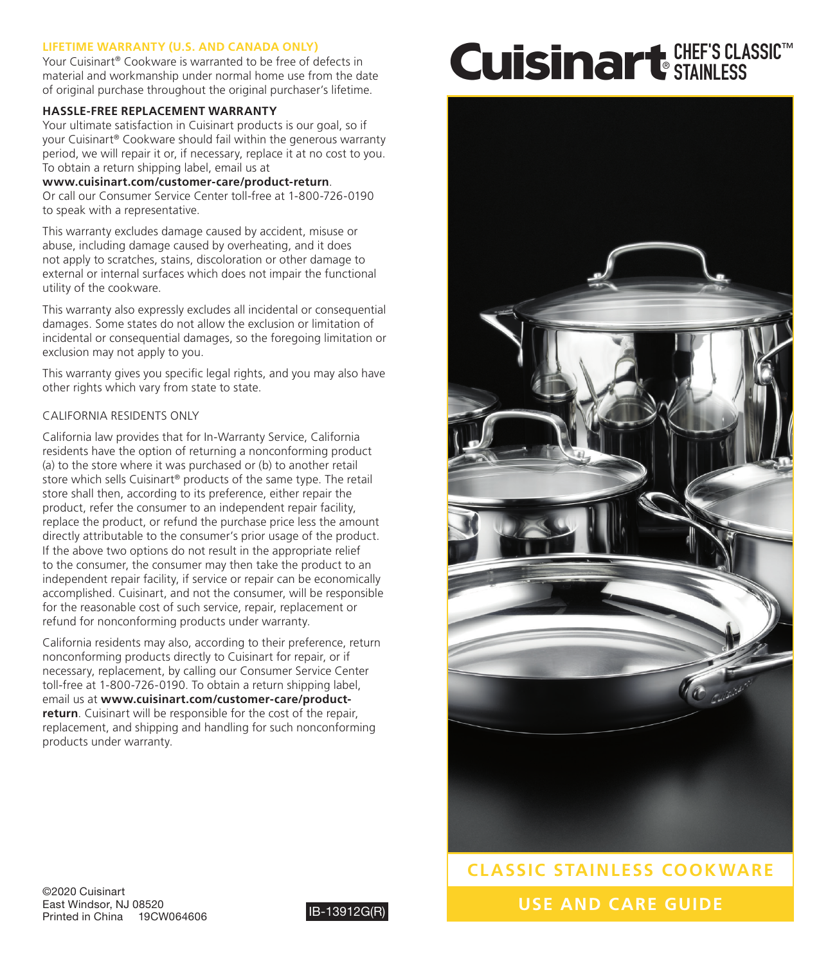# **LIFETIME WARRANTY (U.S. AND CANADA ONLY)**

Your Cuisinart® Cookware is warranted to be free of defects in material and workmanship under normal home use from the date of original purchase throughout the original purchaser's lifetime.

# **HASSLE-FREE REPLACEMENT WARRANTY**

Your ultimate satisfaction in Cuisinart products is our goal, so if your Cuisinart® Cookware should fail within the generous warranty period, we will repair it or, if necessary, replace it at no cost to you. To obtain a return shipping label, email us at

**www.cuisinart.com/customer-care/product-return**. Or call our Consumer Service Center toll-free at 1-800-726-0190 to speak with a representative.

This warranty excludes damage caused by accident, misuse or abuse, including damage caused by overheating, and it does not apply to scratches, stains, discoloration or other damage to external or internal surfaces which does not impair the functional utility of the cookware.

This warranty also expressly excludes all incidental or consequential damages. Some states do not allow the exclusion or limitation of incidental or consequential damages, so the foregoing limitation or exclusion may not apply to you.

This warranty gives you specific legal rights, and you may also have other rights which vary from state to state.

# CALIFORNIA RESIDENTS ONLY

California law provides that for In-Warranty Service, California residents have the option of returning a nonconforming product (a) to the store where it was purchased or (b) to another retail store which sells Cuisinart® products of the same type. The retail store shall then, according to its preference, either repair the product, refer the consumer to an independent repair facility, replace the product, or refund the purchase price less the amount directly attributable to the consumer's prior usage of the product. If the above two options do not result in the appropriate relief to the consumer, the consumer may then take the product to an independent repair facility, if service or repair can be economically accomplished. Cuisinart, and not the consumer, will be responsible for the reasonable cost of such service, repair, replacement or refund for nonconforming products under warranty.

California residents may also, according to their preference, return nonconforming products directly to Cuisinart for repair, or if necessary, replacement, by calling our Consumer Service Center toll-free at 1-800-726-0190. To obtain a return shipping label, email us at **www.cuisinart.com/customer-care/productreturn**. Cuisinart will be responsible for the cost of the repair, replacement, and shipping and handling for such nonconforming products under warranty.

# CHEF'S CLASSIC™ STAINLESS



**USE AND CARE GUIDE CLASSIC STAINLESS COOKWARE**

©2020 Cuisinart East Windsor, NJ 08520 Printed in China 19CW064606 **IB-13912G(R)**